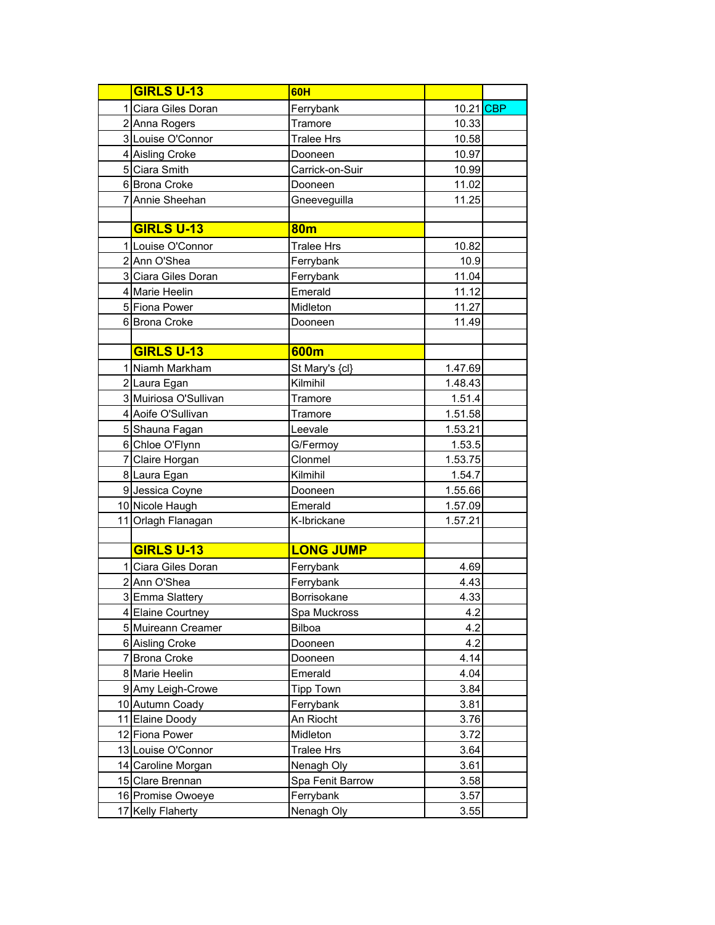| <b>GIRLS U-13</b>     | 60H               |           |  |
|-----------------------|-------------------|-----------|--|
| 1 Ciara Giles Doran   | Ferrybank         | 10.21 CBP |  |
| 2 Anna Rogers         | Tramore           | 10.33     |  |
| 3 Louise O'Connor     | <b>Tralee Hrs</b> | 10.58     |  |
| 4 Aisling Croke       | Dooneen           | 10.97     |  |
| 5 Ciara Smith         | Carrick-on-Suir   | 10.99     |  |
| 6 Brona Croke         | Dooneen           | 11.02     |  |
| 7 Annie Sheehan       | Gneeveguilla      | 11.25     |  |
|                       |                   |           |  |
| <b>GIRLS U-13</b>     | <b>80m</b>        |           |  |
| 1 Louise O'Connor     | <b>Tralee Hrs</b> | 10.82     |  |
| 2 Ann O'Shea          | Ferrybank         | 10.9      |  |
| 3 Ciara Giles Doran   | Ferrybank         | 11.04     |  |
| 4 Marie Heelin        | Emerald           | 11.12     |  |
| 5 Fiona Power         | Midleton          | 11.27     |  |
| 6 Brona Croke         | Dooneen           | 11.49     |  |
|                       |                   |           |  |
| <b>GIRLS U-13</b>     | 600m              |           |  |
| 1 Niamh Markham       | St Mary's {cl}    | 1.47.69   |  |
| 2 Laura Egan          | Kilmihil          | 1.48.43   |  |
| 3 Muiriosa O'Sullivan | Tramore           | 1.51.4    |  |
| 4 Aoife O'Sullivan    | Tramore           | 1.51.58   |  |
| 5 Shauna Fagan        | Leevale           | 1.53.21   |  |
| 6 Chloe O'Flynn       | G/Fermoy          | 1.53.5    |  |
| 7 Claire Horgan       | Clonmel           | 1.53.75   |  |
| 8 Laura Egan          | Kilmihil          | 1.54.7    |  |
| 9 Jessica Coyne       | Dooneen           | 1.55.66   |  |
| 10 Nicole Haugh       | Emerald           | 1.57.09   |  |
| 11 Orlagh Flanagan    | K-Ibrickane       | 1.57.21   |  |
|                       |                   |           |  |
| <b>GIRLS U-13</b>     | <b>LONG JUMP</b>  |           |  |
| 1 Ciara Giles Doran   | Ferrybank         | 4.69      |  |
| 2 Ann O'Shea          | Ferrybank         | 4.43      |  |
| 3 Emma Slattery       | Borrisokane       | 4.33      |  |
| 4 Elaine Courtney     | Spa Muckross      | 4.2       |  |
| 5 Muireann Creamer    | Bilboa            | 4.2       |  |
| 6 Aisling Croke       | Dooneen           | 4.2       |  |
| 7 Brona Croke         | Dooneen           | 4.14      |  |
| 8 Marie Heelin        | Emerald           | 4.04      |  |
| 9 Amy Leigh-Crowe     | <b>Tipp Town</b>  | 3.84      |  |
| 10 Autumn Coady       | Ferrybank         | 3.81      |  |
| 11 Elaine Doody       | An Riocht         | 3.76      |  |
| 12 Fiona Power        | Midleton          | 3.72      |  |
| 13 Louise O'Connor    | <b>Tralee Hrs</b> | 3.64      |  |
| 14 Caroline Morgan    | Nenagh Oly        | 3.61      |  |
| 15 Clare Brennan      | Spa Fenit Barrow  | 3.58      |  |
| 16 Promise Owoeye     | Ferrybank         | 3.57      |  |
| 17 Kelly Flaherty     | Nenagh Oly        | 3.55      |  |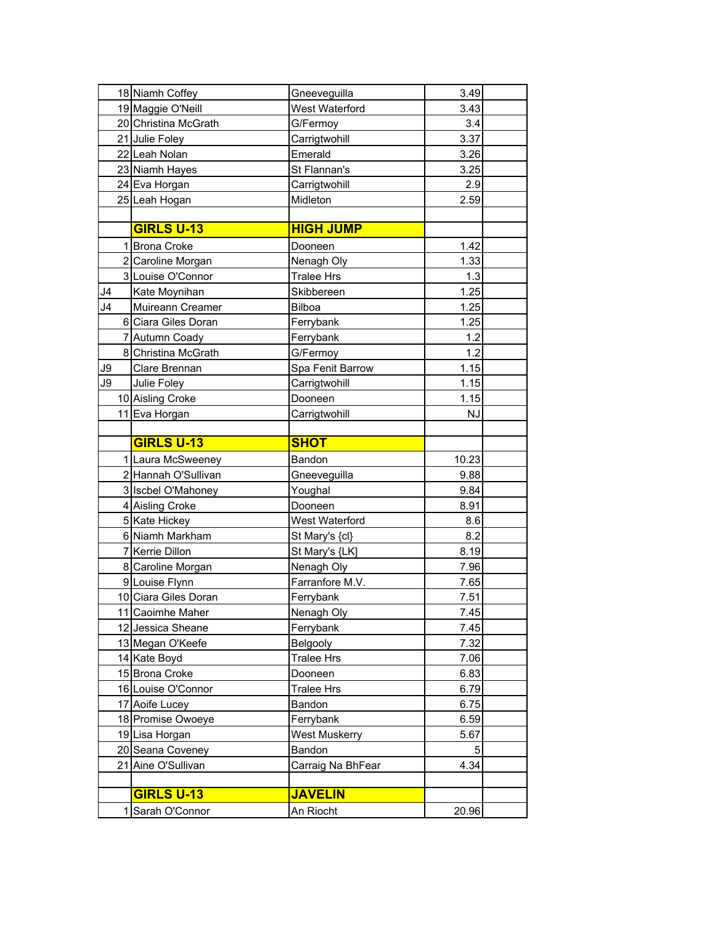|    | 18 Niamh Coffey      | Gneeveguilla      | 3.49      |
|----|----------------------|-------------------|-----------|
|    | 19 Maggie O'Neill    | West Waterford    | 3.43      |
|    | 20 Christina McGrath | G/Fermoy          | 3.4       |
|    | 21 Julie Foley       | Carrigtwohill     | 3.37      |
|    | 22 Leah Nolan        | Emerald           | 3.26      |
|    | 23 Niamh Hayes       | St Flannan's      | 3.25      |
|    | 24 Eva Horgan        | Carrigtwohill     | 2.9       |
|    | 25 Leah Hogan        | Midleton          | 2.59      |
|    |                      |                   |           |
|    | <b>GIRLS U-13</b>    | <b>HIGH JUMP</b>  |           |
|    | 1 Brona Croke        | Dooneen           | 1.42      |
|    | 2 Caroline Morgan    | Nenagh Oly        | 1.33      |
|    | 3 Louise O'Connor    | <b>Tralee Hrs</b> | 1.3       |
| J4 | Kate Moynihan        | Skibbereen        | 1.25      |
| J4 | Muireann Creamer     | <b>Bilboa</b>     | 1.25      |
|    | 6 Ciara Giles Doran  | Ferrybank         | 1.25      |
|    | 7 Autumn Coady       | Ferrybank         | 1.2       |
|    | 8 Christina McGrath  | G/Fermoy          | 1.2       |
| J9 | Clare Brennan        | Spa Fenit Barrow  | 1.15      |
| J9 | Julie Foley          | Carrigtwohill     | 1.15      |
|    | 10 Aisling Croke     | Dooneen           | 1.15      |
|    | 11 Eva Horgan        | Carrigtwohill     | <b>NJ</b> |
|    |                      |                   |           |
|    | <b>GIRLS U-13</b>    | <b>SHOT</b>       |           |
|    | 1 Laura McSweeney    | Bandon            | 10.23     |
|    | 2 Hannah O'Sullivan  | Gneeveguilla      | 9.88      |
|    | 3 Iscbel O'Mahoney   | Youghal           | 9.84      |
|    | 4 Aisling Croke      | Dooneen           | 8.91      |
|    | 5 Kate Hickey        | West Waterford    | 8.6       |
|    | 6 Niamh Markham      | St Mary's {cl}    | 8.2       |
|    | 7 Kerrie Dillon      | St Mary's {LK]    | 8.19      |
|    | 8 Caroline Morgan    | Nenagh Oly        | 7.96      |
|    | 9 Louise Flynn       | Farranfore M.V.   | 7.65      |
|    | 10 Ciara Giles Doran | Ferrybank         | 7.51      |
|    | 11 Caoimhe Maher     | Nenagh Oly        | 7.45      |
|    | 12 Jessica Sheane    | Ferrybank         | 7.45      |
|    | 13 Megan O'Keefe     | Belgooly          | 7.32      |
|    | 14 Kate Boyd         | <b>Tralee Hrs</b> | 7.06      |
|    | 15 Brona Croke       | Dooneen           | 6.83      |
|    | 16 Louise O'Connor   | <b>Tralee Hrs</b> | 6.79      |
|    | 17 Aoife Lucey       | Bandon            | 6.75      |
|    | 18 Promise Owoeye    | Ferrybank         | 6.59      |
|    | 19 Lisa Horgan       | West Muskerry     | 5.67      |
|    | 20 Seana Coveney     | Bandon            | 5         |
|    | 21 Aine O'Sullivan   | Carraig Na BhFear | 4.34      |
|    |                      |                   |           |
|    | <b>GIRLS U-13</b>    | <b>JAVELIN</b>    |           |
|    | 1 Sarah O'Connor     | An Riocht         | 20.96     |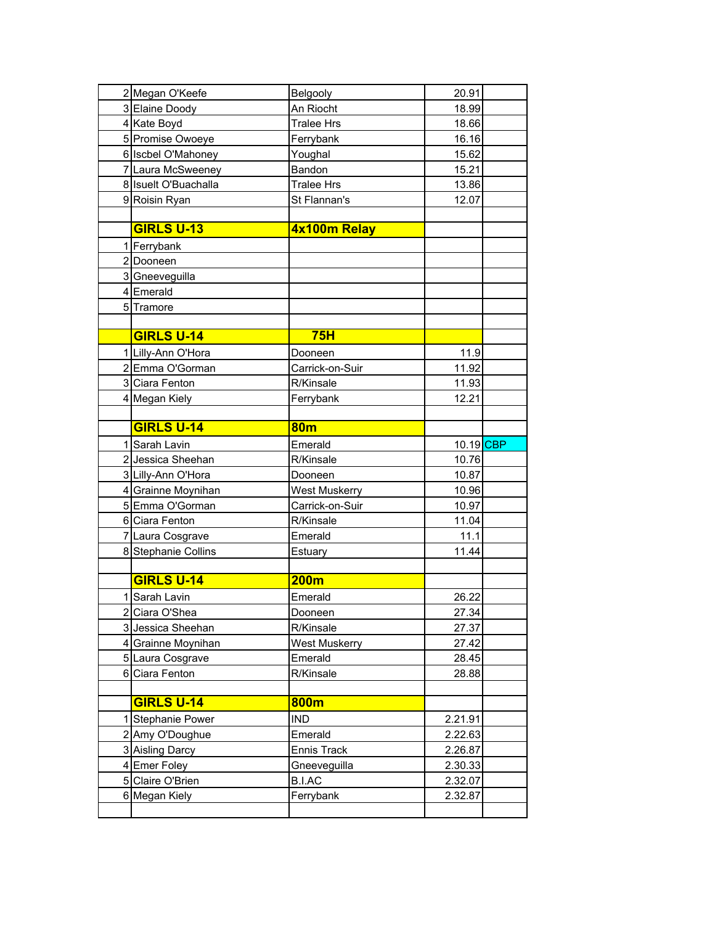| 2 Megan O'Keefe      | Belgooly             | 20.91     |  |
|----------------------|----------------------|-----------|--|
| 3 Elaine Doody       | An Riocht            | 18.99     |  |
| 4 Kate Boyd          | <b>Tralee Hrs</b>    | 18.66     |  |
| 5 Promise Owoeye     | Ferrybank            | 16.16     |  |
| 6 Iscbel O'Mahoney   | Youghal              | 15.62     |  |
| 7 Laura McSweeney    | Bandon               | 15.21     |  |
| 8 Isuelt O'Buachalla | <b>Tralee Hrs</b>    | 13.86     |  |
| 9 Roisin Ryan        | St Flannan's         | 12.07     |  |
|                      |                      |           |  |
| <b>GIRLS U-13</b>    | 4x100m Relay         |           |  |
| 1 Ferrybank          |                      |           |  |
| 2 Dooneen            |                      |           |  |
| 3 Gneeveguilla       |                      |           |  |
| 4 Emerald            |                      |           |  |
| 5 Tramore            |                      |           |  |
|                      |                      |           |  |
| <b>GIRLS U-14</b>    | 75H                  |           |  |
| 1 Lilly-Ann O'Hora   | Dooneen              | 11.9      |  |
| 2 Emma O'Gorman      | Carrick-on-Suir      | 11.92     |  |
| 3 Ciara Fenton       | R/Kinsale            | 11.93     |  |
| 4 Megan Kiely        | Ferrybank            | 12.21     |  |
|                      |                      |           |  |
| <b>GIRLS U-14</b>    | <b>80m</b>           |           |  |
| 1 Sarah Lavin        | Emerald              | 10.19 CBP |  |
| 2 Jessica Sheehan    | R/Kinsale            | 10.76     |  |
| 3 Lilly-Ann O'Hora   | Dooneen              | 10.87     |  |
| 4 Grainne Moynihan   | <b>West Muskerry</b> | 10.96     |  |
| 5 Emma O'Gorman      | Carrick-on-Suir      | 10.97     |  |
| 6 Ciara Fenton       | R/Kinsale            | 11.04     |  |
| 7 Laura Cosgrave     | Emerald              | 11.1      |  |
| 8 Stephanie Collins  | Estuary              | 11.44     |  |
|                      |                      |           |  |
| <b>GIRLS U-14</b>    | 200 <sub>m</sub>     |           |  |
| 1 Sarah Lavin        | Emerald              | 26.22     |  |
| 2 Ciara O'Shea       | Dooneen              | 27.34     |  |
| 3 Jessica Sheehan    | R/Kinsale            | 27.37     |  |
| 4 Grainne Moynihan   | <b>West Muskerry</b> | 27.42     |  |
| 5 Laura Cosgrave     | Emerald              | 28.45     |  |
| 6 Ciara Fenton       | R/Kinsale            | 28.88     |  |
|                      |                      |           |  |
| <b>GIRLS U-14</b>    | 800m                 |           |  |
| 1 Stephanie Power    | <b>IND</b>           | 2.21.91   |  |
| 2 Amy O'Doughue      | Emerald              | 2.22.63   |  |
| 3 Aisling Darcy      | <b>Ennis Track</b>   | 2.26.87   |  |
| 4 Emer Foley         | Gneeveguilla         | 2.30.33   |  |
| 5 Claire O'Brien     | <b>B.I.AC</b>        | 2.32.07   |  |
| 6 Megan Kiely        | Ferrybank            | 2.32.87   |  |
|                      |                      |           |  |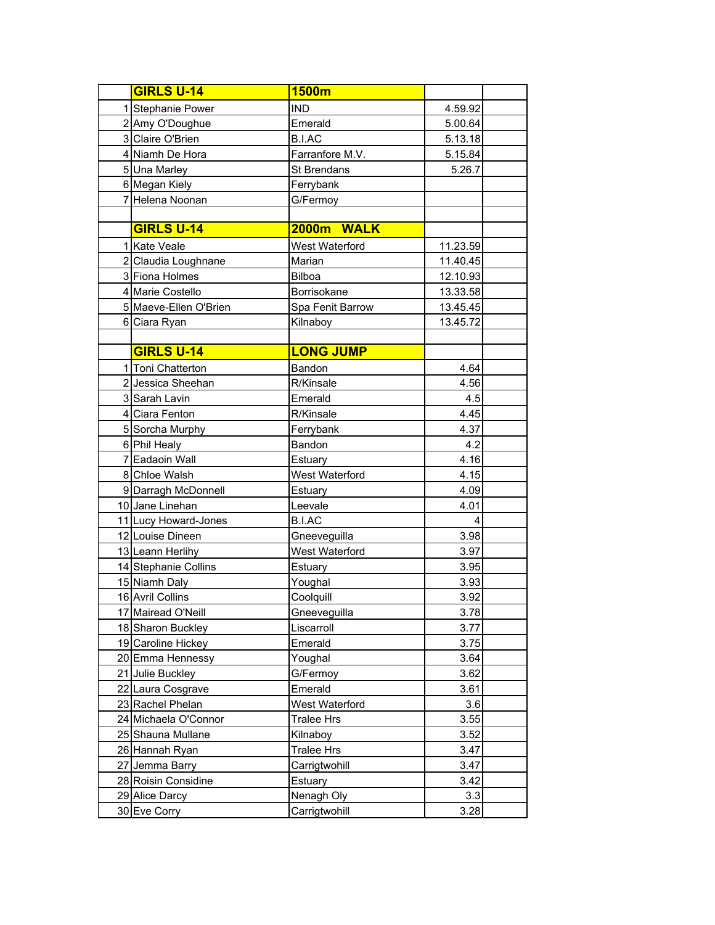| <b>GIRLS U-14</b>     | 1500m             |          |  |
|-----------------------|-------------------|----------|--|
| 1 Stephanie Power     | <b>IND</b>        | 4.59.92  |  |
| 2 Amy O'Doughue       | Emerald           | 5.00.64  |  |
| 3 Claire O'Brien      | <b>B.I.AC</b>     | 5.13.18  |  |
| 4 Niamh De Hora       | Farranfore M.V.   | 5.15.84  |  |
| 5 Una Marley          | St Brendans       | 5.26.7   |  |
| 6 Megan Kiely         | Ferrybank         |          |  |
| 7 Helena Noonan       | G/Fermoy          |          |  |
|                       |                   |          |  |
| <b>GIRLS U-14</b>     | 2000m WALK        |          |  |
| 1 Kate Veale          | West Waterford    | 11.23.59 |  |
| 2 Claudia Loughnane   | Marian            | 11.40.45 |  |
| 3 Fiona Holmes        | <b>Bilboa</b>     | 12.10.93 |  |
| 4 Marie Costello      | Borrisokane       | 13.33.58 |  |
| 5 Maeve-Ellen O'Brien | Spa Fenit Barrow  | 13.45.45 |  |
| 6 Ciara Ryan          | Kilnaboy          | 13.45.72 |  |
|                       |                   |          |  |
| <b>GIRLS U-14</b>     | <b>LONG JUMP</b>  |          |  |
| 1 Toni Chatterton     | Bandon            | 4.64     |  |
| 2 Jessica Sheehan     | R/Kinsale         | 4.56     |  |
| 3 Sarah Lavin         | Emerald           | 4.5      |  |
| 4 Ciara Fenton        | R/Kinsale         | 4.45     |  |
| 5 Sorcha Murphy       | Ferrybank         | 4.37     |  |
| 6 Phil Healy          | Bandon            | 4.2      |  |
| 7 Eadaoin Wall        | Estuary           | 4.16     |  |
| 8 Chloe Walsh         | West Waterford    | 4.15     |  |
| 9 Darragh McDonnell   | Estuary           | 4.09     |  |
| 10 Jane Linehan       | Leevale           | 4.01     |  |
| 11 Lucy Howard-Jones  | B.I.AC            | 4        |  |
| 12 Louise Dineen      | Gneeveguilla      | 3.98     |  |
| 13 Leann Herlihy      | West Waterford    | 3.97     |  |
| 14 Stephanie Collins  | Estuary           | 3.95     |  |
| 15 Niamh Daly         | Youghal           | 3.93     |  |
| 16 Avril Collins      | Coolquill         | 3.92     |  |
| 17 Mairead O'Neill    | Gneeveguilla      | 3.78     |  |
| 18 Sharon Buckley     | Liscarroll        | 3.77     |  |
| 19 Caroline Hickey    | Emerald           | 3.75     |  |
| 20 Emma Hennessy      | Youghal           | 3.64     |  |
| 21 Julie Buckley      | G/Fermoy          | 3.62     |  |
| 22 Laura Cosgrave     | Emerald           | 3.61     |  |
| 23 Rachel Phelan      | West Waterford    | 3.6      |  |
| 24 Michaela O'Connor  | <b>Tralee Hrs</b> | 3.55     |  |
| 25 Shauna Mullane     | Kilnaboy          | 3.52     |  |
| 26 Hannah Ryan        | <b>Tralee Hrs</b> | 3.47     |  |
| 27 Jemma Barry        | Carrigtwohill     | 3.47     |  |
| 28 Roisin Considine   | Estuary           | 3.42     |  |
| 29 Alice Darcy        | Nenagh Oly        | 3.3      |  |
| 30 Eve Corry          | Carrigtwohill     | 3.28     |  |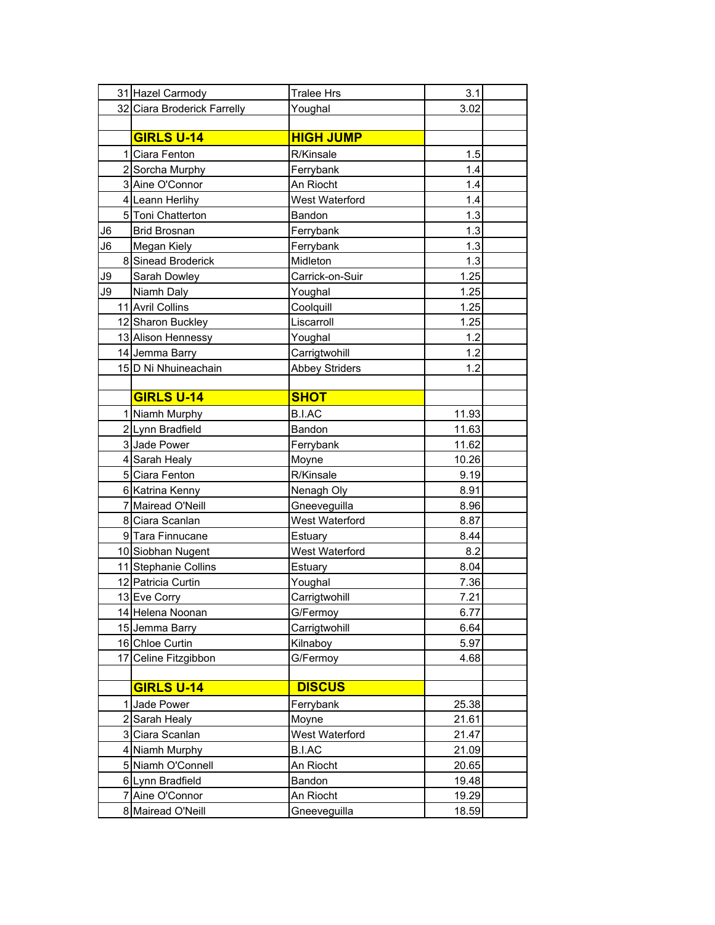|    | 31 Hazel Carmody            | <b>Tralee Hrs</b>     | 3.1   |  |
|----|-----------------------------|-----------------------|-------|--|
|    | 32 Ciara Broderick Farrelly | Youghal               | 3.02  |  |
|    |                             |                       |       |  |
|    | <b>GIRLS U-14</b>           | <b>HIGH JUMP</b>      |       |  |
|    | 1 Ciara Fenton              | R/Kinsale             | 1.5   |  |
|    | 2 Sorcha Murphy             | Ferrybank             | 1.4   |  |
|    | 3 Aine O'Connor             | An Riocht             | 1.4   |  |
|    | 4 Leann Herlihy             | West Waterford        | 1.4   |  |
|    | 5 Toni Chatterton           | Bandon                | 1.3   |  |
| J6 | <b>Brid Brosnan</b>         | Ferrybank             | 1.3   |  |
| J6 | Megan Kiely                 | Ferrybank             | 1.3   |  |
|    | 8 Sinead Broderick          | Midleton              | 1.3   |  |
| J9 | Sarah Dowley                | Carrick-on-Suir       | 1.25  |  |
| J9 | Niamh Daly                  | Youghal               | 1.25  |  |
|    | 11 Avril Collins            | Coolquill             | 1.25  |  |
|    | 12 Sharon Buckley           | Liscarroll            | 1.25  |  |
|    | 13 Alison Hennessy          | Youghal               | 1.2   |  |
|    | 14 Jemma Barry              | Carrigtwohill         | 1.2   |  |
|    | 15 D Ni Nhuineachain        | <b>Abbey Striders</b> | 1.2   |  |
|    |                             |                       |       |  |
|    | <b>GIRLS U-14</b>           | <b>SHOT</b>           |       |  |
|    | 1 Niamh Murphy              | <b>B.I.AC</b>         | 11.93 |  |
|    | 2 Lynn Bradfield            | Bandon                | 11.63 |  |
|    | 3 Jade Power                | Ferrybank             | 11.62 |  |
|    | 4 Sarah Healy               | Moyne                 | 10.26 |  |
|    | 5 Ciara Fenton              | R/Kinsale             | 9.19  |  |
|    | 6 Katrina Kenny             | Nenagh Oly            | 8.91  |  |
|    | 7 Mairead O'Neill           | Gneeveguilla          | 8.96  |  |
|    | 8 Ciara Scanlan             | West Waterford        | 8.87  |  |
|    | 9 Tara Finnucane            | Estuary               | 8.44  |  |
|    | 10 Siobhan Nugent           | West Waterford        | 8.2   |  |
|    | 11 Stephanie Collins        | Estuary               | 8.04  |  |
|    | 12 Patricia Curtin          | Youghal               | 7.36  |  |
|    | 13 Eve Corry                | Carrigtwohill         | 7.21  |  |
|    | 14 Helena Noonan            | G/Fermoy              | 6.77  |  |
|    | 15 Jemma Barry              | Carrigtwohill         | 6.64  |  |
|    | 16 Chloe Curtin             | Kilnaboy              | 5.97  |  |
|    | 17 Celine Fitzgibbon        | G/Fermoy              | 4.68  |  |
|    |                             |                       |       |  |
|    | <b>GIRLS U-14</b>           | <b>DISCUS</b>         |       |  |
|    | 1 Jade Power                | Ferrybank             | 25.38 |  |
|    | 2 Sarah Healy               | Moyne                 | 21.61 |  |
|    | 3 Ciara Scanlan             | West Waterford        | 21.47 |  |
|    | 4 Niamh Murphy              | <b>B.I.AC</b>         | 21.09 |  |
|    | 5 Niamh O'Connell           | An Riocht             | 20.65 |  |
|    | 6 Lynn Bradfield            | Bandon                | 19.48 |  |
|    | 7 Aine O'Connor             | An Riocht             | 19.29 |  |
|    | 8 Mairead O'Neill           | Gneeveguilla          | 18.59 |  |